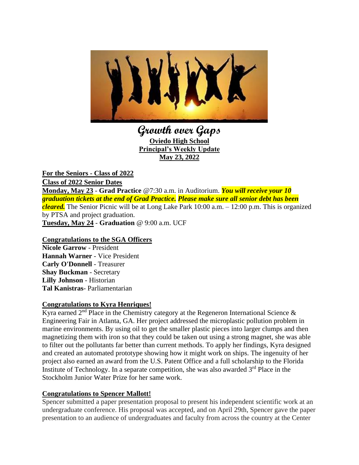

**Growth over Gaps Oviedo High School Principal's Weekly Update May 23, 2022**

**For the Seniors - Class of 2022 Class of 2022 Senior Dates Monday, May 23** - **Grad Practice** @7:30 a.m. in Auditorium. *You will receive your 10 graduation tickets at the end of Grad Practice. Please make sure all senior debt has been cleared.* The Senior Picnic will be at Long Lake Park 10:00 a.m. – 12:00 p.m. This is organized by PTSA and project graduation. **Tuesday, May 24** - **Graduation** @ 9:00 a.m. UCF

#### **Congratulations to the SGA Officers**

**Nicole Garrow** - President **Hannah Warner** - Vice President **Carly O'Donnell** - Treasurer **Shay Buckman** - Secretary **Lilly Johnson** - Historian **Tal Kanistras**- Parliamentarian

#### **Congratulations to Kyra Henriques!**

Kyra earned  $2<sup>nd</sup>$  Place in the Chemistry category at the Regeneron International Science  $\&$ Engineering Fair in Atlanta, GA. Her project addressed the microplastic pollution problem in marine environments. By using oil to get the smaller plastic pieces into larger clumps and then magnetizing them with iron so that they could be taken out using a strong magnet, she was able to filter out the pollutants far better than current methods. To apply her findings, Kyra designed and created an automated prototype showing how it might work on ships. The ingenuity of her project also earned an award from the U.S. Patent Office and a full scholarship to the Florida Institute of Technology. In a separate competition, she was also awarded  $3<sup>rd</sup>$  Place in the Stockholm Junior Water Prize for her same work.

#### **Congratulations to Spencer Mallott!**

Spencer submitted a paper presentation proposal to present his independent scientific work at an undergraduate conference. His proposal was accepted, and on April 29th, Spencer gave the paper presentation to an audience of undergraduates and faculty from across the country at the Center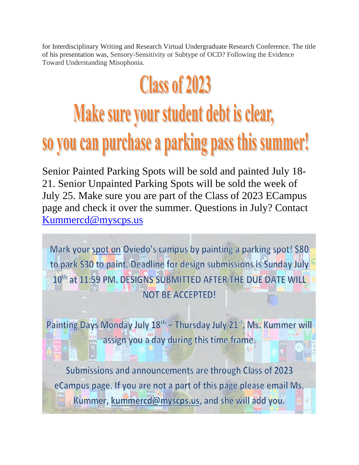for Interdisciplinary Writing and Research Virtual Undergraduate Research Conference. The title of his presentation was, Sensory-Sensitivity or Subtype of OCD? Following the Evidence Toward Understanding Misophonia.

## **Class of 2023**

### Make sure your student debt is clear, so you can purchase a parking pass this summer!

Senior Painted Parking Spots will be sold and painted July 18- 21. Senior Unpainted Parking Spots will be sold the week of July 25. Make sure you are part of the Class of 2023 ECampus page and check it over the summer. Questions in July? Contact [Kummercd@myscps.us](mailto:Kummercd@myscps.us)

Mark your spot on Oviedo's campus by painting a parking spot! \$80 to park \$30 to paint. Deadline for design submissions is Sunday July 10th at 11:59 PM. DESIGNS SUBMITTED AFTER THE DUE DATE WILL **NOT BE ACCEPTED!** 

Painting Days Monday July 18<sup>th</sup> - Thursday July 21<sup>st</sup>, Ms. Kummer will assign you a day during this time frame.

Submissions and announcements are through Class of 2023 eCampus page. If you are not a part of this page please email Ms. Kummer, kummercd@myscps.us, and she will add you.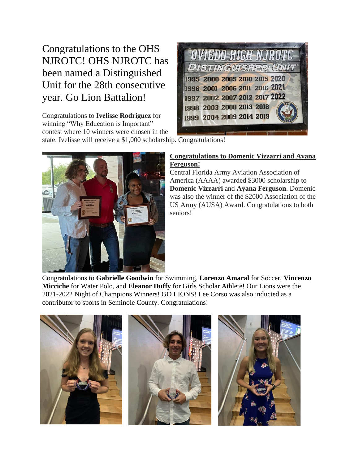Congratulations to the OHS NJROTC! OHS NJROTC has been named a Distinguished Unit for the 28th consecutive year. Go Lion Battalion!

Congratulations to **Ivelisse Rodriguez** for winning "Why Education is Important" contest where 10 winners were chosen in the



state. Ivelisse will receive a \$1,000 scholarship. Congratulations!



#### **Congratulations to Domenic Vizzarri and Ayana Ferguson!**

Central Florida Army Aviation Association of America (AAAA) awarded \$3000 scholarship to **Domenic Vizzarri** and **Ayana Ferguson**. Domenic was also the winner of the \$2000 Association of the US Army (AUSA) Award. Congratulations to both seniors!

Congratulations to **Gabrielle Goodwin** for Swimming, **Lorenzo Amaral** for Soccer, **Vincenzo Micciche** for Water Polo, and **Eleanor Duffy** for Girls Scholar Athlete! Our Lions were the 2021-2022 Night of Champions Winners! GO LIONS! Lee Corso was also inducted as a contributor to sports in Seminole County. Congratulations!

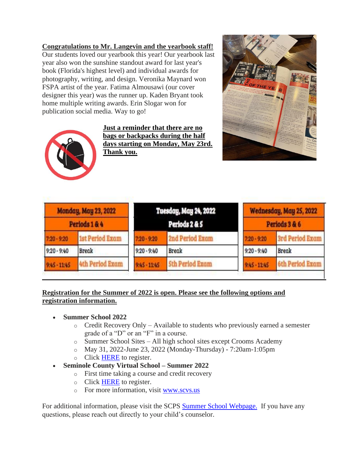#### **Congratulations to Mr. Langevin and the yearbook staff!**

Our students loved our yearbook this year! Our yearbook last year also won the sunshine standout award for last year's book (Florida's highest level) and individual awards for photography, writing, and design. Veronika Maynard won FSPA artist of the year. Fatima Almousawi (our cover designer this year) was the runner up. Kaden Bryant took home multiple writing awards. Erin Slogar won for publication social media. Way to go!



**Just a reminder that there are no bags or backpacks during the half days starting on Monday, May 23rd. Thank you.**



| <b>Monday, May 23, 2022</b><br>Periods 1 & 4 |                        | <b>Tuesday, May 24, 2022</b><br>Periods 2 & 5 |                        | Wednesday, May 25, 2022<br>Periods 3 & 6 |                        |
|----------------------------------------------|------------------------|-----------------------------------------------|------------------------|------------------------------------------|------------------------|
| $7:20 - 9:20$                                | <b>1st Period Exam</b> | $7.20 - 9.20$                                 | 2nd Period Exam        | $7:20 - 9:20$                            | <b>3rd Period Exam</b> |
| $9:20 - 9:40$                                | <b>Break</b>           | $9:20 - 9:40$                                 | <b>Break</b>           | $9:20 - 9:40$                            | <b>Break</b>           |
| $9:45 - 11:45$                               | <b>4th Period Exam</b> | $9:45 - 11:45$                                | <b>Sth Period Exam</b> | $9:45 - 11:45$                           | <b>6th Period Exam</b> |

#### **Registration for the Summer of 2022 is open. Please see the following options and registration information.**

- **Summer School 2022**
	- o Credit Recovery Only Available to students who previously earned a semester grade of a "D" or an "F" in a course.
	- o Summer School Sites All high school sites except Crooms Academy
	- o May 31, 2022-June 23, 2022 (Monday-Thursday) 7:20am-1:05pm
	- o Click [HERE](https://nam10.safelinks.protection.outlook.com/?url=http%3A%2F%2Ftrack.spe.schoolmessenger.com%2Ff%2Fa%2FZuZYH_T8mdUqqAbvhIJk3Q~~%2FAAAAAQA~%2FRgRj_3DOP4SUAWh0dHBzOi8vbmFtMTAuc2FmZWxpbmtzLnByb3RlY3Rpb24ub3V0bG9vay5jb20vP3VybD1odHRwcyUzQSUyRiUyRnRpbnl1cmwuY29tJTJGNG1raDJuYW4mZGF0YT0wNCU3QzAxJTdDbWljaGFlbF9sYXdyZW5jZSU0MHNjcHMuazEyLmZsLnVzJTdDNTA5Yjk1ZDdmODdhNDY5YTBjMDUwOGQ5ZmI5MmUwMjclN0NkMWU5ZTZiMjc3OGU0OGU1YTk2MWU5ODM2YWYwODgyNyU3QzAlN0MwJTdDNjM3ODE3NDMwNTIzNzY2ODg3JTdDVW5rbm93biU3Q1RXRnBiR1pzYjNkOGV5SldJam9pTUM0d0xqQXdNREFpTENKUUlqb2lWMmx1TXpJaUxDSkJUaUk2SWsxaGFXd2lMQ0pYVkNJNk1uMCUzRCU3QzMwMDAmc2RhdGE9c3VZRGxKdHEwWGZGcXlzJTJCejMyYmdNRUNOVlYlMkZIUUtEenhuaSUyQktWeTI2SSUzRCZyZXNlcnZlZD0wVwdzY2hvb2xtQgpiHE49HmLv-QvCUht0cmVudF9kYW5pZWxAc2Nwcy5rMTIuZmwudXNYBAAAAAE~&data=04%7C01%7Ctrent_daniel%40scps.k12.fl.us%7Ca2577c4c93a546d3778408d9fb9925e7%7Cd1e9e6b2778e48e5a961e9836af08827%7C0%7C0%7C637817457453808611%7CUnknown%7CTWFpbGZsb3d8eyJWIjoiMC4wLjAwMDAiLCJQIjoiV2luMzIiLCJBTiI6Ik1haWwiLCJXVCI6Mn0%3D%7C3000&sdata=ZetCqzk43%2FBrAN%2F0jAH3ZugbA5RprnDnf8DlUMVep6s%3D&reserved=0) to register.
- **Seminole County Virtual School – Summer 2022**
	- o First time taking a course and credit recovery
	- o Click [HERE](https://nam10.safelinks.protection.outlook.com/?url=http%3A%2F%2Ftrack.spe.schoolmessenger.com%2Ff%2Fa%2F0m0t0SfPNwjIiwgF0zyChQ~~%2FAAAAAQA~%2FRgRj_3DOP0RbaHR0cHM6Ly92aXJ0dWFsc2Nob29sLnNjcHMuazEyLmZsLnVzL2Fubm91bmNlbWVudHMvc2N2cy1zdW1tZXItMjAyMi1zdHVkZW50LWVucm9sbG1lbnQuc3RtbFcHc2Nob29sbUIKYhxOPR5i7_kLwlIbdHJlbnRfZGFuaWVsQHNjcHMuazEyLmZsLnVzWAQAAAAB&data=04%7C01%7Ctrent_daniel%40scps.k12.fl.us%7Ca2577c4c93a546d3778408d9fb9925e7%7Cd1e9e6b2778e48e5a961e9836af08827%7C0%7C0%7C637817457453808611%7CUnknown%7CTWFpbGZsb3d8eyJWIjoiMC4wLjAwMDAiLCJQIjoiV2luMzIiLCJBTiI6Ik1haWwiLCJXVCI6Mn0%3D%7C3000&sdata=WaLnDPGxiE%2FOCaLkh6W4xTWSS8uJtSG3pLqSb%2BfxDPk%3D&reserved=0) to register.
	- o For more information, visit [www.scvs.us](https://nam10.safelinks.protection.outlook.com/?url=http%3A%2F%2Ftrack.spe.schoolmessenger.com%2Ff%2Fa%2F7MxcG07Dh61QuOy8jp5hHw~~%2FAAAAAQA~%2FRgRj_3DOP4SLAWh0dHBzOi8vbmFtMTAuc2FmZWxpbmtzLnByb3RlY3Rpb24ub3V0bG9vay5jb20vP3VybD1odHRwJTNBJTJGJTJGd3d3LnNjdnMudXMlMkYmZGF0YT0wNCU3QzAxJTdDbWljaGFlbF9sYXdyZW5jZSU0MHNjcHMuazEyLmZsLnVzJTdDNTA5Yjk1ZDdmODdhNDY5YTBjMDUwOGQ5ZmI5MmUwMjclN0NkMWU5ZTZiMjc3OGU0OGU1YTk2MWU5ODM2YWYwODgyNyU3QzAlN0MwJTdDNjM3ODE3NDMwNTIzOTIzMTI5JTdDVW5rbm93biU3Q1RXRnBiR1pzYjNkOGV5SldJam9pTUM0d0xqQXdNREFpTENKUUlqb2lWMmx1TXpJaUxDSkJUaUk2SWsxaGFXd2lMQ0pYVkNJNk1uMCUzRCU3QzMwMDAmc2RhdGE9RXh6S2labmVTS3NUU2hpc2o4bWlXWiUyRk9WZ24yJTJGdEV5WlpPWFphZ0olMkZqUSUzRCZyZXNlcnZlZD0wVwdzY2hvb2xtQgpiHE49HmLv-QvCUht0cmVudF9kYW5pZWxAc2Nwcy5rMTIuZmwudXNYBAAAAAE~&data=04%7C01%7Ctrent_daniel%40scps.k12.fl.us%7Ca2577c4c93a546d3778408d9fb9925e7%7Cd1e9e6b2778e48e5a961e9836af08827%7C0%7C0%7C637817457453808611%7CUnknown%7CTWFpbGZsb3d8eyJWIjoiMC4wLjAwMDAiLCJQIjoiV2luMzIiLCJBTiI6Ik1haWwiLCJXVCI6Mn0%3D%7C3000&sdata=3WiT4juE%2Fjp4HSF9Xor6CY4FPKHnNSy3HLhds5SXogQ%3D&reserved=0)

For additional information, please visit the SCPS **Summer School Webpage**. If you have any questions, please reach out directly to your child's counselor.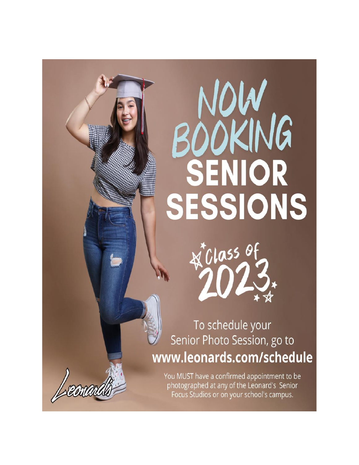# **NOW<br>BOOKING** SENIOR SESSIONS



To schedule your Senior Photo Session, go to www.leonards.com/schedule

You MUST have a confirmed appointment to be photographed at any of the Leonard's Senior Focus Studios or on your school's campus.

Leon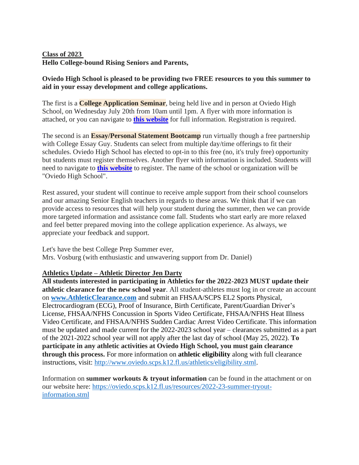#### **Class of 2023 Hello College-bound Rising Seniors and Parents,**

#### **Oviedo High School is pleased to be providing two FREE resources to you this summer to aid in your essay development and college applications.**

The first is a **College Application Seminar**, being held live and in person at Oviedo High School, on Wednesday July 20th from 10am until 1pm. A flyer with more information is attached, or you can navigate to **this [website](https://nam10.safelinks.protection.outlook.com/?url=http%3A%2F%2Ftrack.spe.schoolmessenger.com%2Ff%2Fa%2FxSaz0ASJTIO3aZ6NazDQyw~~%2FAAAAAQA~%2FRgRkX-HtP0RJaHR0cHM6Ly9zaXRlcy5nb29nbGUuY29tL215c2Nwcy51cy9vaHN2b3NidXJnL2NvbGxlZ2UtYXBwbGljYXRpb24tc2VtaW5hclcHc2Nob29sbUIKYm9trn5i2rjPt1IebGF1cmVuX3NjaG9tbWVyQHNjcHMuazEyLmZsLnVzWAQAAAAB&data=05%7C01%7Ctrent_daniel%40scps.k12.fl.us%7C412b27c39b8040f59e7e08da3515522a%7Cd1e9e6b2778e48e5a961e9836af08827%7C0%7C0%7C637880664648897289%7CUnknown%7CTWFpbGZsb3d8eyJWIjoiMC4wLjAwMDAiLCJQIjoiV2luMzIiLCJBTiI6Ik1haWwiLCJXVCI6Mn0%3D%7C3000%7C%7C%7C&sdata=7J63B5eS2uiehJH%2BAoAJBc%2FOm%2B4s5ypPG1rfF67NpdU%3D&reserved=0)** for full information. Registration is required.

The second is an **Essay/Personal Statement Bootcamp** run virtually though a free partnership with College Essay Guy. Students can select from multiple day/time offerings to fit their schedules. Oviedo High School has elected to opt-in to this free (no, it's truly free) opportunity but students must register themselves. Another flyer with information is included. Students will need to navigate to **this [website](https://nam10.safelinks.protection.outlook.com/?url=http%3A%2F%2Ftrack.spe.schoolmessenger.com%2Ff%2Fa%2FaBLIzGlS80UuhneSUYIitg~~%2FAAAAAQA~%2FRgRkX-HtP0Q1aHR0cHM6Ly93d3cuY29sbGVnZWVzc2F5Z3V5LmNvbS9zdWItY2VnLWxpdmUtc3R1ZGVudHNXB3NjaG9vbG1CCmJvba5-Ytq4z7dSHmxhdXJlbl9zY2hvbW1lckBzY3BzLmsxMi5mbC51c1gEAAAAAQ~~&data=05%7C01%7Ctrent_daniel%40scps.k12.fl.us%7C412b27c39b8040f59e7e08da3515522a%7Cd1e9e6b2778e48e5a961e9836af08827%7C0%7C0%7C637880664648897289%7CUnknown%7CTWFpbGZsb3d8eyJWIjoiMC4wLjAwMDAiLCJQIjoiV2luMzIiLCJBTiI6Ik1haWwiLCJXVCI6Mn0%3D%7C3000%7C%7C%7C&sdata=cRdVKlPHaWkmELx2DohVAUG4ggJMw3OlENzfLv64%2B1c%3D&reserved=0)** to register. The name of the school or organization will be "Oviedo High School".

Rest assured, your student will continue to receive ample support from their school counselors and our amazing Senior English teachers in regards to these areas. We think that if we can provide access to resources that will help your student during the summer, then we can provide more targeted information and assistance come fall. Students who start early are more relaxed and feel better prepared moving into the college application experience. As always, we appreciate your feedback and support.

Let's have the best College Prep Summer ever, Mrs. Vosburg (with enthusiastic and unwavering support from Dr. Daniel)

#### **Athletics Update – Athletic Director Jen Darty**

**All students interested in participating in Athletics for the 2022-2023 MUST update their athletic clearance for the new school year**. All student-athletes must log in or create an account on **[www.AthleticClearance.com](https://nam10.safelinks.protection.outlook.com/?url=http%3A%2F%2Fwww.athleticclearance.com%2F&data=05%7C01%7Ctrent_daniel%40scps.k12.fl.us%7C6e9c80d3b18a46a31f0408da38ef6ea8%7Cd1e9e6b2778e48e5a961e9836af08827%7C0%7C0%7C637884898403079520%7CUnknown%7CTWFpbGZsb3d8eyJWIjoiMC4wLjAwMDAiLCJQIjoiV2luMzIiLCJBTiI6Ik1haWwiLCJXVCI6Mn0%3D%7C3000%7C%7C%7C&sdata=0H8RQ%2FGXHDERtW5bXpQV%2FfbtgYONjtcL81xSfAgnmq4%3D&reserved=0)** and submit an FHSAA/SCPS EL2 Sports Physical, Electrocardiogram (ECG), Proof of Insurance, Birth Certificate, Parent/Guardian Driver's License, FHSAA/NFHS Concussion in Sports Video Certificate, FHSAA/NFHS Heat Illness Video Certificate, and FHSAA/NFHS Sudden Cardiac Arrest Video Certificate. This information must be updated and made current for the 2022-2023 school year – clearances submitted as a part of the 2021-2022 school year will not apply after the last day of school (May 25, 2022). **To participate in any athletic activities at Oviedo High School, you must gain clearance through this process.** For more information on **athletic eligibility** along with full clearance instructions, visit: [http://www.oviedo.scps.k12.fl.us/athletics/eligibility.stml.](http://www.oviedo.scps.k12.fl.us/athletics/eligibility.stml)

Information on **summer workouts & tryout information** can be found in the attachment or on our website here: [https://oviedo.scps.k12.fl.us/resources/2022-23-summer-tryout](https://oviedo.scps.k12.fl.us/resources/2022-23-summer-tryout-information.stml)[information.stml](https://oviedo.scps.k12.fl.us/resources/2022-23-summer-tryout-information.stml)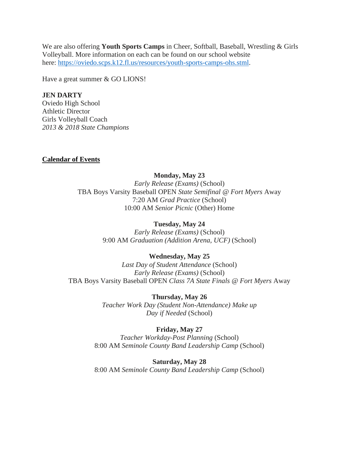We are also offering **Youth Sports Camps** in Cheer, Softball, Baseball, Wrestling & Girls Volleyball. More information on each can be found on our school website here: [https://oviedo.scps.k12.fl.us/resources/youth-sports-camps-ohs.stml.](https://oviedo.scps.k12.fl.us/resources/youth-sports-camps-ohs.stml)

Have a great summer & GO LIONS!

#### **JEN DARTY**

Oviedo High School Athletic Director Girls Volleyball Coach *2013 & 2018 State Champions*

#### **Calendar of Events**

#### **Monday, May 23**

*Early Release (Exams)* (School) TBA Boys Varsity Baseball OPEN *State Semifinal @ Fort Myers* Away 7:20 AM *Grad Practice* (School) 10:00 AM *Senior Picnic* (Other) Home

#### **Tuesday, May 24**

*Early Release (Exams)* (School) 9:00 AM *Graduation (Addition Arena, UCF)* (School)

#### **Wednesday, May 25**

*Last Day of Student Attendance* (School) *Early Release (Exams)* (School) TBA Boys Varsity Baseball OPEN *Class 7A State Finals @ Fort Myers* Away

> **Thursday, May 26** *Teacher Work Day (Student Non-Attendance) Make up Day if Needed* (School)

#### **Friday, May 27**

*Teacher Workday-Post Planning* (School) 8:00 AM *Seminole County Band Leadership Camp* (School)

**Saturday, May 28** 8:00 AM *Seminole County Band Leadership Camp* (School)